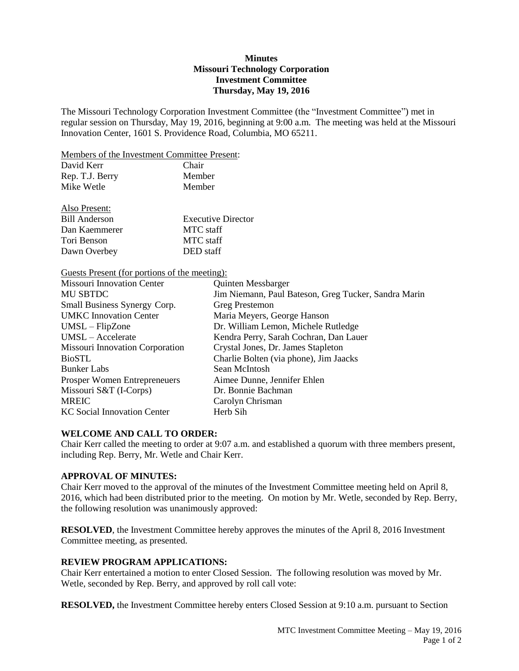# **Minutes Missouri Technology Corporation Investment Committee Thursday, May 19, 2016**

The Missouri Technology Corporation Investment Committee (the "Investment Committee") met in regular session on Thursday, May 19, 2016, beginning at 9:00 a.m. The meeting was held at the Missouri Innovation Center, 1601 S. Providence Road, Columbia, MO 65211.

Members of the Investment Committee Present:

| Chair  |
|--------|
| Member |
| Member |
|        |

Also Present:

| Also Present: |                           |
|---------------|---------------------------|
| Bill Anderson | <b>Executive Director</b> |
| Dan Kaemmerer | <b>MTC</b> staff          |
| Tori Benson   | <b>MTC</b> staff          |
| Dawn Overbey  | DED staff                 |

Guests Present (for portions of the meeting):

| <b>Missouri Innovation Center</b>   | <b>Quinten Messbarger</b>                            |
|-------------------------------------|------------------------------------------------------|
| <b>MU SBTDC</b>                     | Jim Niemann, Paul Bateson, Greg Tucker, Sandra Marin |
| Small Business Synergy Corp.        | Greg Prestemon                                       |
| <b>UMKC</b> Innovation Center       | Maria Meyers, George Hanson                          |
| $UMSL - FilpZone$                   | Dr. William Lemon, Michele Rutledge                  |
| UMSL - Accelerate                   | Kendra Perry, Sarah Cochran, Dan Lauer               |
| Missouri Innovation Corporation     | Crystal Jones, Dr. James Stapleton                   |
| <b>BioSTL</b>                       | Charlie Bolten (via phone), Jim Jaacks               |
| <b>Bunker Labs</b>                  | Sean McIntosh                                        |
| <b>Prosper Women Entrepreneuers</b> | Aimee Dunne, Jennifer Ehlen                          |
| Missouri S&T (I-Corps)              | Dr. Bonnie Bachman                                   |
| <b>MREIC</b>                        | Carolyn Chrisman                                     |
| <b>KC</b> Social Innovation Center  | Herb Sih                                             |

# **WELCOME AND CALL TO ORDER:**

Chair Kerr called the meeting to order at 9:07 a.m. and established a quorum with three members present, including Rep. Berry, Mr. Wetle and Chair Kerr.

# **APPROVAL OF MINUTES:**

Chair Kerr moved to the approval of the minutes of the Investment Committee meeting held on April 8, 2016, which had been distributed prior to the meeting. On motion by Mr. Wetle, seconded by Rep. Berry, the following resolution was unanimously approved:

**RESOLVED**, the Investment Committee hereby approves the minutes of the April 8, 2016 Investment Committee meeting, as presented.

# **REVIEW PROGRAM APPLICATIONS:**

Chair Kerr entertained a motion to enter Closed Session. The following resolution was moved by Mr. Wetle, seconded by Rep. Berry, and approved by roll call vote:

**RESOLVED,** the Investment Committee hereby enters Closed Session at 9:10 a.m. pursuant to Section